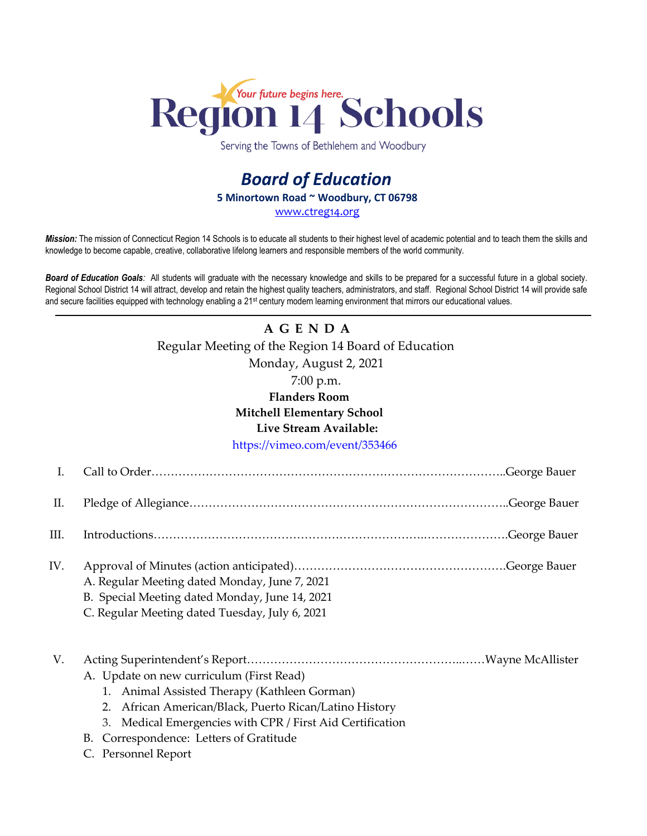

Serving the Towns of Bethlehem and Woodbury

## *Board of Education* **5 Minortown Road ~ Woodbury, CT 06798** www.ctreg14.org

*Mission:* The mission of Connecticut Region 14 Schools is to educate all students to their highest level of academic potential and to teach them the skills and knowledge to become capable, creative, collaborative lifelong learners and responsible members of the world community.

*Board of Education Goals:* All students will graduate with the necessary knowledge and skills to be prepared for a successful future in a global society. Regional School District 14 will attract, develop and retain the highest quality teachers, administrators, and staff. Regional School District 14 will provide safe and secure facilities equipped with technology enabling a 21<sup>st</sup> century modern learning environment that mirrors our educational values.

## **A G E N D A** Regular Meeting of the Region 14 Board of Education Monday, August 2, 2021 7:00 p.m. **Flanders Room Mitchell Elementary School Live Stream Available:**  <https://vimeo.com/event/353466>

| П.   |                                                                                                                                                   |                                                                                                                                                                                                                                                                                   |
|------|---------------------------------------------------------------------------------------------------------------------------------------------------|-----------------------------------------------------------------------------------------------------------------------------------------------------------------------------------------------------------------------------------------------------------------------------------|
| III. |                                                                                                                                                   |                                                                                                                                                                                                                                                                                   |
| IV.  | A. Regular Meeting dated Monday, June 7, 2021<br>B. Special Meeting dated Monday, June 14, 2021<br>C. Regular Meeting dated Tuesday, July 6, 2021 |                                                                                                                                                                                                                                                                                   |
|      |                                                                                                                                                   | $T_{1}$ , $T_{2}$ , $T_{3}$ , $T_{4}$ , $T_{5}$ , $T_{6}$ , $T_{7}$ , $T_{8}$ , $T_{9}$ , $T_{10}$ , $T_{11}$ , $T_{12}$ , $T_{13}$ , $T_{14}$ , $T_{15}$ , $T_{16}$ , $T_{17}$ , $T_{18}$ , $T_{19}$ , $T_{10}$ , $T_{11}$ , $T_{12}$ , $T_{13}$ , $T_{14}$ , $T_{15}$ , $T_{16$ |

V. Acting Superintendent's Report………………………………………………..……Wayne McAllister A. Update on new curriculum (First Read)

- 1. Animal Assisted Therapy (Kathleen Gorman)
- 2. African American/Black, Puerto Rican/Latino History
- 3. Medical Emergencies with CPR / First Aid Certification
- B. Correspondence: Letters of Gratitude
- C. Personnel Report